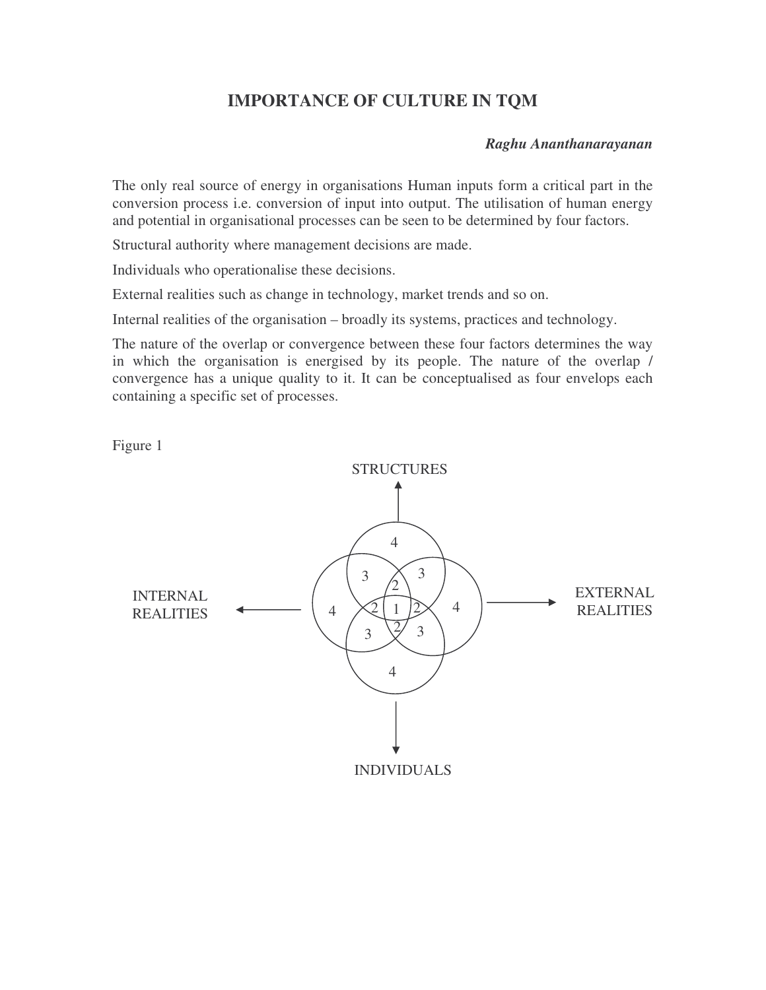# **IMPORTANCE OF CULTURE IN TQM**

#### *Raghu Ananthanarayanan*

The only real source of energy in organisations Human inputs form a critical part in the conversion process i.e. conversion of input into output. The utilisation of human energy and potential in organisational processes can be seen to be determined by four factors.

Structural authority where management decisions are made.

Individuals who operationalise these decisions.

External realities such as change in technology, market trends and so on.

Internal realities of the organisation – broadly its systems, practices and technology.

The nature of the overlap or convergence between these four factors determines the way in which the organisation is energised by its people. The nature of the overlap / convergence has a unique quality to it. It can be conceptualised as four envelops each containing a specific set of processes.

Figure 1

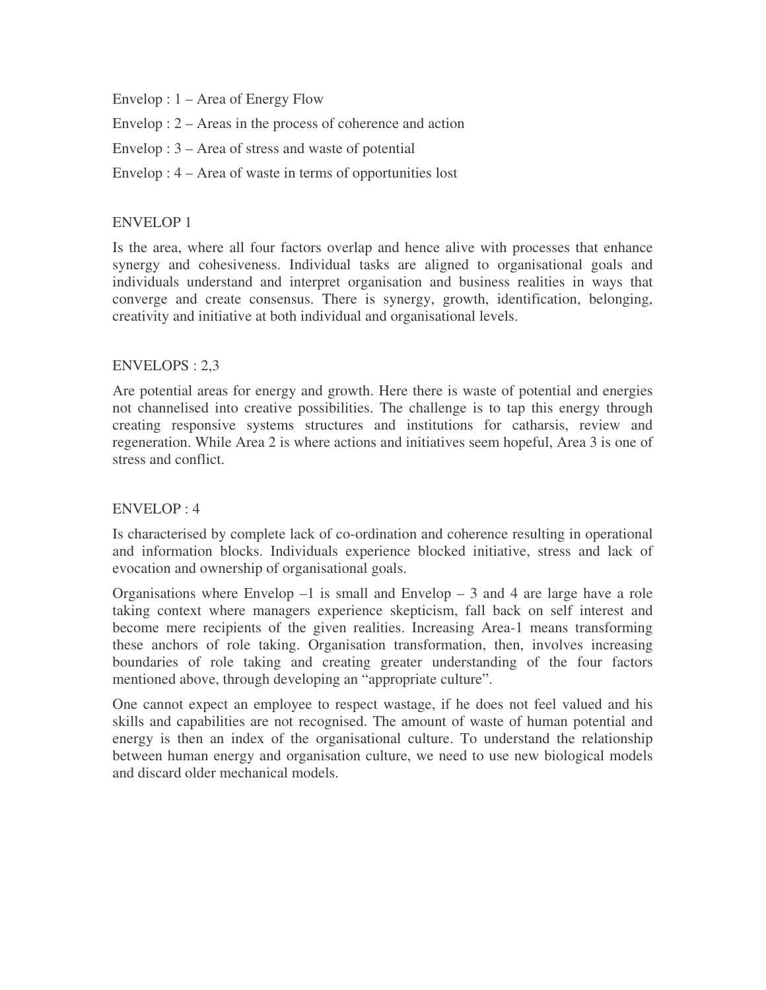Envelop : 1 – Area of Energy Flow

Envelop : 2 – Areas in the process of coherence and action

Envelop : 3 – Area of stress and waste of potential

Envelop : 4 – Area of waste in terms of opportunities lost

### ENVELOP 1

Is the area, where all four factors overlap and hence alive with processes that enhance synergy and cohesiveness. Individual tasks are aligned to organisational goals and individuals understand and interpret organisation and business realities in ways that converge and create consensus. There is synergy, growth, identification, belonging, creativity and initiative at both individual and organisational levels.

#### ENVELOPS : 2,3

Are potential areas for energy and growth. Here there is waste of potential and energies not channelised into creative possibilities. The challenge is to tap this energy through creating responsive systems structures and institutions for catharsis, review and regeneration. While Area 2 is where actions and initiatives seem hopeful, Area 3 is one of stress and conflict.

## ENVELOP : 4

Is characterised by complete lack of co-ordination and coherence resulting in operational and information blocks. Individuals experience blocked initiative, stress and lack of evocation and ownership of organisational goals.

Organisations where Envelop  $-1$  is small and Envelop  $-3$  and 4 are large have a role taking context where managers experience skepticism, fall back on self interest and become mere recipients of the given realities. Increasing Area-1 means transforming these anchors of role taking. Organisation transformation, then, involves increasing boundaries of role taking and creating greater understanding of the four factors mentioned above, through developing an "appropriate culture".

One cannot expect an employee to respect wastage, if he does not feel valued and his skills and capabilities are not recognised. The amount of waste of human potential and energy is then an index of the organisational culture. To understand the relationship between human energy and organisation culture, we need to use new biological models and discard older mechanical models.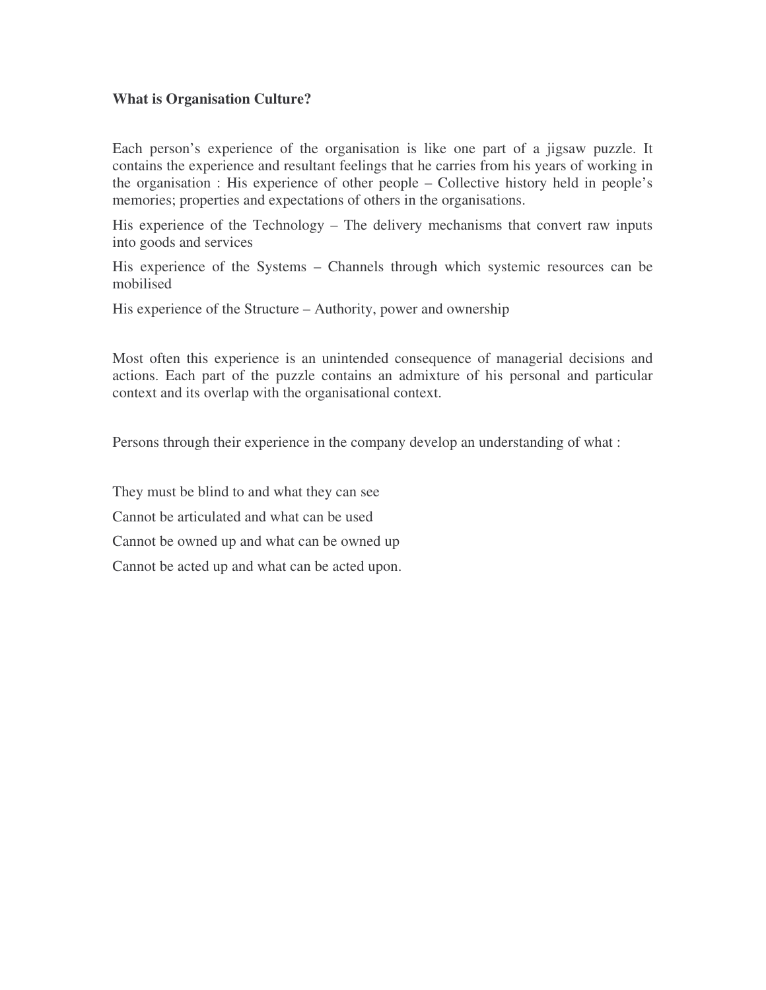## **What is Organisation Culture?**

Each person's experience of the organisation is like one part of a jigsaw puzzle. It contains the experience and resultant feelings that he carries from his years of working in the organisation : His experience of other people – Collective history held in people's memories; properties and expectations of others in the organisations.

His experience of the Technology – The delivery mechanisms that convert raw inputs into goods and services

His experience of the Systems – Channels through which systemic resources can be mobilised

His experience of the Structure – Authority, power and ownership

Most often this experience is an unintended consequence of managerial decisions and actions. Each part of the puzzle contains an admixture of his personal and particular context and its overlap with the organisational context.

Persons through their experience in the company develop an understanding of what :

They must be blind to and what they can see

Cannot be articulated and what can be used

Cannot be owned up and what can be owned up

Cannot be acted up and what can be acted upon.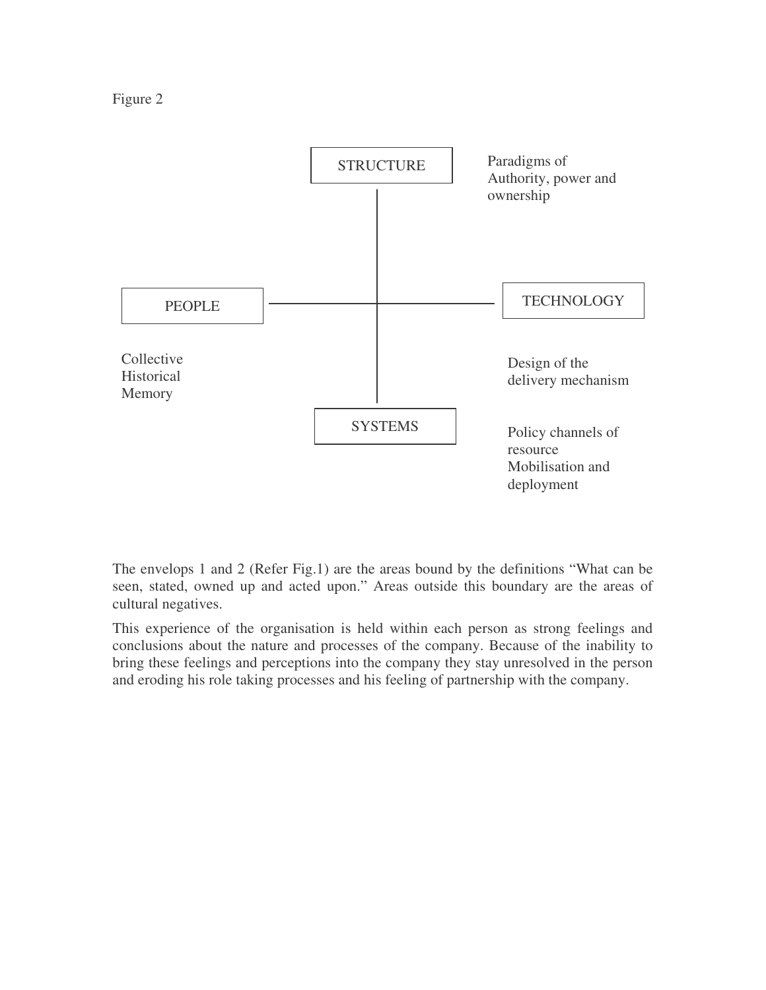



The envelops 1 and 2 (Refer Fig.1) are the areas bound by the definitions "What can be seen, stated, owned up and acted upon." Areas outside this boundary are the areas of cultural negatives.

This experience of the organisation is held within each person as strong feelings and conclusions about the nature and processes of the company. Because of the inability to bring these feelings and perceptions into the company they stay unresolved in the person and eroding his role taking processes and his feeling of partnership with the company.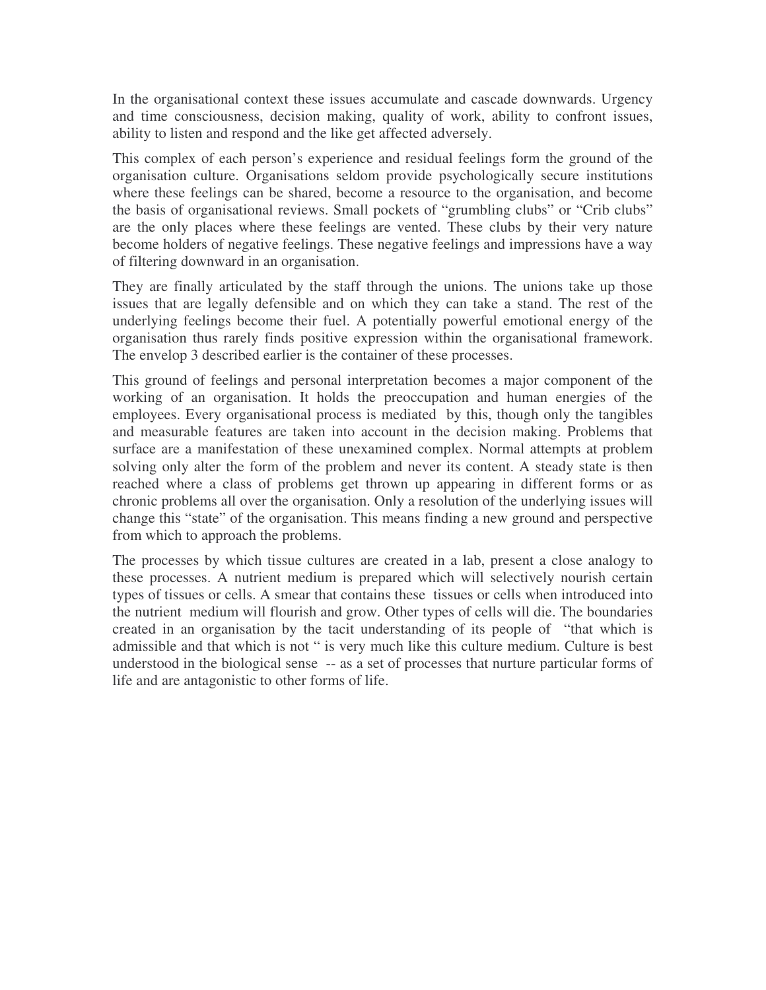In the organisational context these issues accumulate and cascade downwards. Urgency and time consciousness, decision making, quality of work, ability to confront issues, ability to listen and respond and the like get affected adversely.

This complex of each person's experience and residual feelings form the ground of the organisation culture. Organisations seldom provide psychologically secure institutions where these feelings can be shared, become a resource to the organisation, and become the basis of organisational reviews. Small pockets of "grumbling clubs" or "Crib clubs" are the only places where these feelings are vented. These clubs by their very nature become holders of negative feelings. These negative feelings and impressions have a way of filtering downward in an organisation.

They are finally articulated by the staff through the unions. The unions take up those issues that are legally defensible and on which they can take a stand. The rest of the underlying feelings become their fuel. A potentially powerful emotional energy of the organisation thus rarely finds positive expression within the organisational framework. The envelop 3 described earlier is the container of these processes.

This ground of feelings and personal interpretation becomes a major component of the working of an organisation. It holds the preoccupation and human energies of the employees. Every organisational process is mediated by this, though only the tangibles and measurable features are taken into account in the decision making. Problems that surface are a manifestation of these unexamined complex. Normal attempts at problem solving only alter the form of the problem and never its content. A steady state is then reached where a class of problems get thrown up appearing in different forms or as chronic problems all over the organisation. Only a resolution of the underlying issues will change this "state" of the organisation. This means finding a new ground and perspective from which to approach the problems.

The processes by which tissue cultures are created in a lab, present a close analogy to these processes. A nutrient medium is prepared which will selectively nourish certain types of tissues or cells. A smear that contains these tissues or cells when introduced into the nutrient medium will flourish and grow. Other types of cells will die. The boundaries created in an organisation by the tacit understanding of its people of "that which is admissible and that which is not " is very much like this culture medium. Culture is best understood in the biological sense -- as a set of processes that nurture particular forms of life and are antagonistic to other forms of life.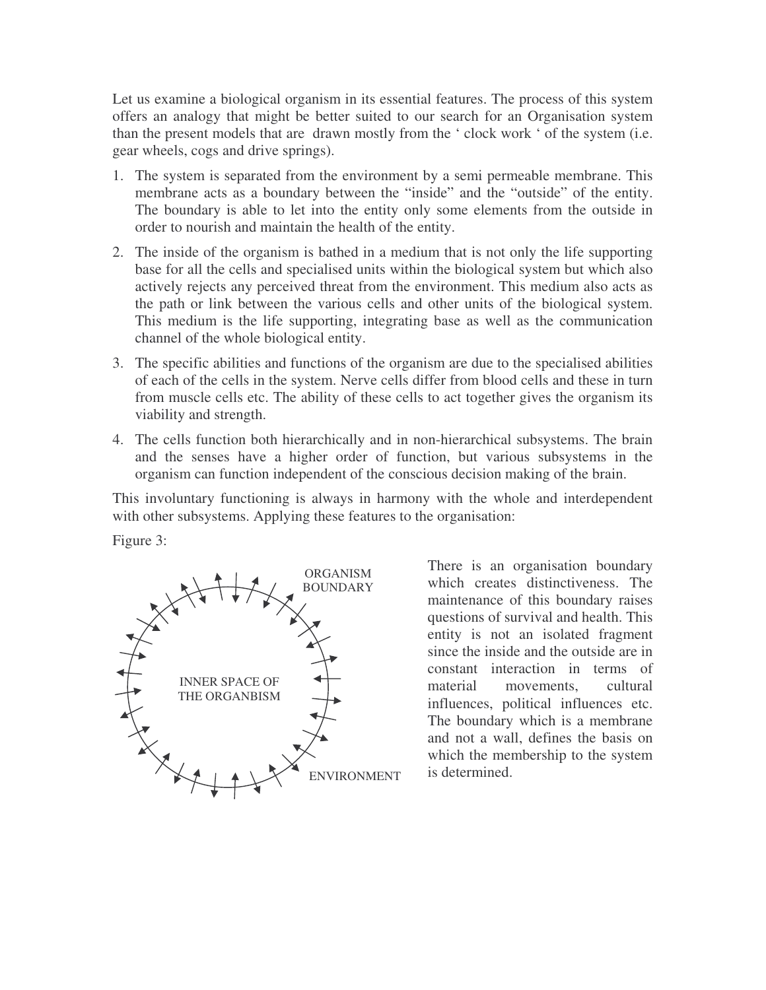Let us examine a biological organism in its essential features. The process of this system offers an analogy that might be better suited to our search for an Organisation system than the present models that are drawn mostly from the ' clock work ' of the system (i.e. gear wheels, cogs and drive springs).

- 1. The system is separated from the environment by a semi permeable membrane. This membrane acts as a boundary between the "inside" and the "outside" of the entity. The boundary is able to let into the entity only some elements from the outside in order to nourish and maintain the health of the entity.
- 2. The inside of the organism is bathed in a medium that is not only the life supporting base for all the cells and specialised units within the biological system but which also actively rejects any perceived threat from the environment. This medium also acts as the path or link between the various cells and other units of the biological system. This medium is the life supporting, integrating base as well as the communication channel of the whole biological entity.
- 3. The specific abilities and functions of the organism are due to the specialised abilities of each of the cells in the system. Nerve cells differ from blood cells and these in turn from muscle cells etc. The ability of these cells to act together gives the organism its viability and strength.
- 4. The cells function both hierarchically and in non-hierarchical subsystems. The brain and the senses have a higher order of function, but various subsystems in the organism can function independent of the conscious decision making of the brain.

This involuntary functioning is always in harmony with the whole and interdependent with other subsystems. Applying these features to the organisation:

Figure 3:



There is an organisation boundary which creates distinctiveness. The maintenance of this boundary raises questions of survival and health. This entity is not an isolated fragment since the inside and the outside are in constant interaction in terms of material movements, cultural influences, political influences etc. The boundary which is a membrane and not a wall, defines the basis on which the membership to the system is determined.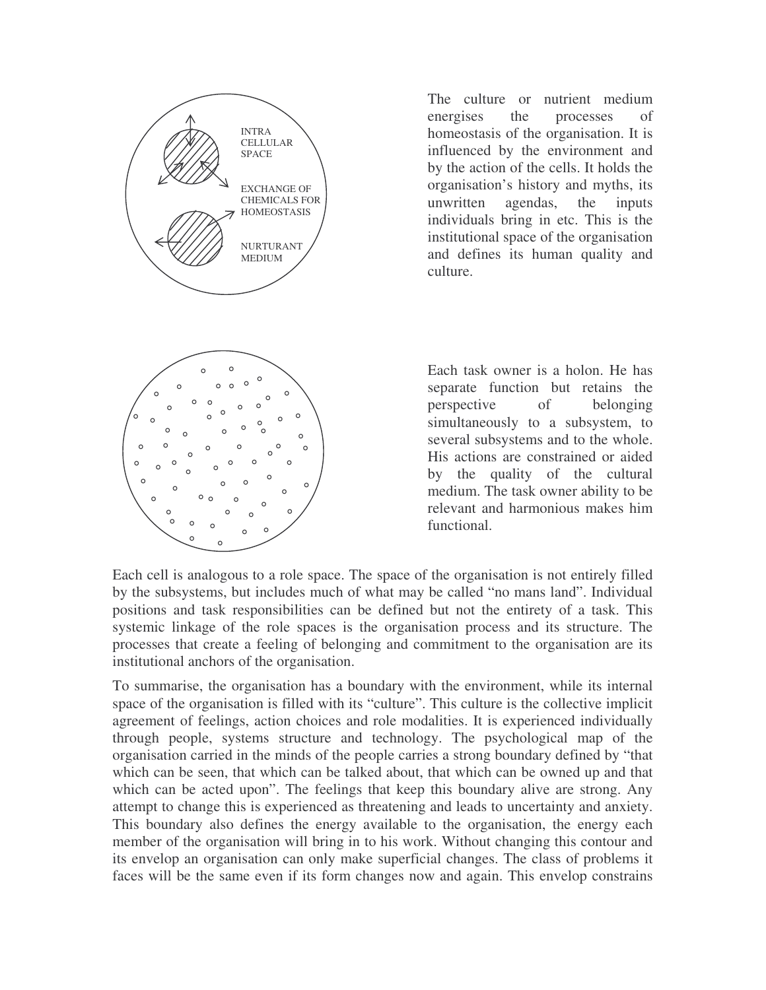

The culture or nutrient medium energises the processes of homeostasis of the organisation. It is influenced by the environment and by the action of the cells. It holds the organisation's history and myths, its unwritten agendas, the inputs individuals bring in etc. This is the institutional space of the organisation and defines its human quality and culture.

Each task owner is a holon. He has separate function but retains the perspective of belonging simultaneously to a subsystem, to several subsystems and to the whole. His actions are constrained or aided by the quality of the cultural medium. The task owner ability to be relevant and harmonious makes him functional.

Each cell is analogous to a role space. The space of the organisation is not entirely filled by the subsystems, but includes much of what may be called "no mans land". Individual positions and task responsibilities can be defined but not the entirety of a task. This systemic linkage of the role spaces is the organisation process and its structure. The processes that create a feeling of belonging and commitment to the organisation are its institutional anchors of the organisation.

To summarise, the organisation has a boundary with the environment, while its internal space of the organisation is filled with its "culture". This culture is the collective implicit agreement of feelings, action choices and role modalities. It is experienced individually through people, systems structure and technology. The psychological map of the organisation carried in the minds of the people carries a strong boundary defined by "that which can be seen, that which can be talked about, that which can be owned up and that which can be acted upon". The feelings that keep this boundary alive are strong. Any attempt to change this is experienced as threatening and leads to uncertainty and anxiety. This boundary also defines the energy available to the organisation, the energy each member of the organisation will bring in to his work. Without changing this contour and its envelop an organisation can only make superficial changes. The class of problems it faces will be the same even if its form changes now and again. This envelop constrains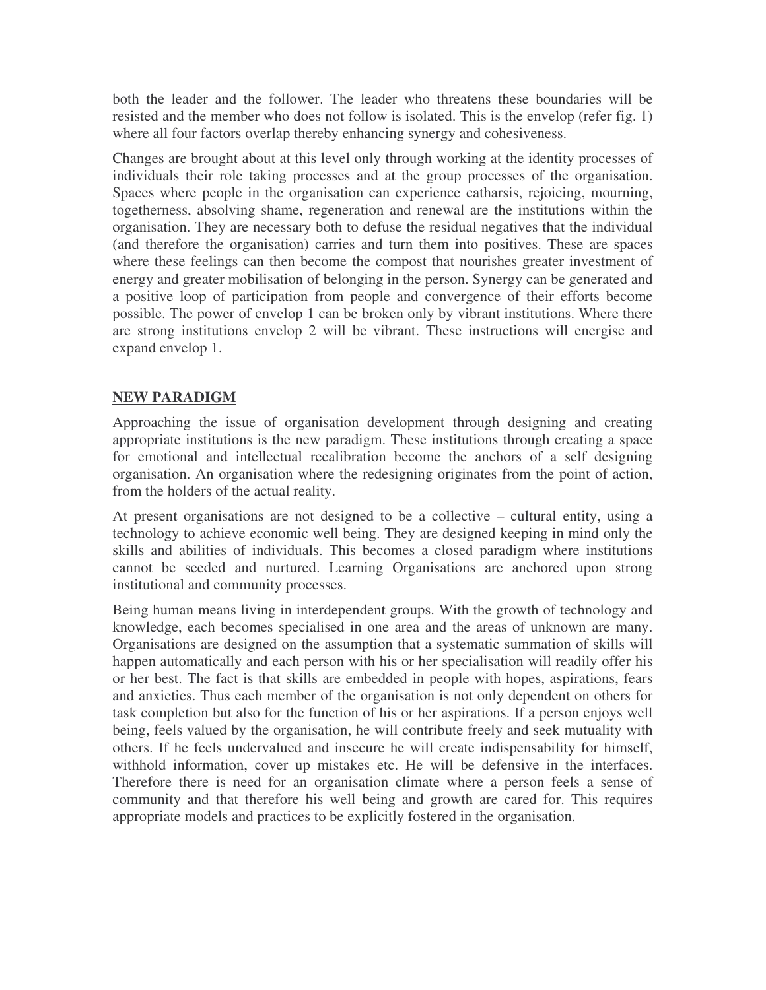both the leader and the follower. The leader who threatens these boundaries will be resisted and the member who does not follow is isolated. This is the envelop (refer fig. 1) where all four factors overlap thereby enhancing synergy and cohesiveness.

Changes are brought about at this level only through working at the identity processes of individuals their role taking processes and at the group processes of the organisation. Spaces where people in the organisation can experience catharsis, rejoicing, mourning, togetherness, absolving shame, regeneration and renewal are the institutions within the organisation. They are necessary both to defuse the residual negatives that the individual (and therefore the organisation) carries and turn them into positives. These are spaces where these feelings can then become the compost that nourishes greater investment of energy and greater mobilisation of belonging in the person. Synergy can be generated and a positive loop of participation from people and convergence of their efforts become possible. The power of envelop 1 can be broken only by vibrant institutions. Where there are strong institutions envelop 2 will be vibrant. These instructions will energise and expand envelop 1.

## **NEW PARADIGM**

Approaching the issue of organisation development through designing and creating appropriate institutions is the new paradigm. These institutions through creating a space for emotional and intellectual recalibration become the anchors of a self designing organisation. An organisation where the redesigning originates from the point of action, from the holders of the actual reality.

At present organisations are not designed to be a collective – cultural entity, using a technology to achieve economic well being. They are designed keeping in mind only the skills and abilities of individuals. This becomes a closed paradigm where institutions cannot be seeded and nurtured. Learning Organisations are anchored upon strong institutional and community processes.

Being human means living in interdependent groups. With the growth of technology and knowledge, each becomes specialised in one area and the areas of unknown are many. Organisations are designed on the assumption that a systematic summation of skills will happen automatically and each person with his or her specialisation will readily offer his or her best. The fact is that skills are embedded in people with hopes, aspirations, fears and anxieties. Thus each member of the organisation is not only dependent on others for task completion but also for the function of his or her aspirations. If a person enjoys well being, feels valued by the organisation, he will contribute freely and seek mutuality with others. If he feels undervalued and insecure he will create indispensability for himself, withhold information, cover up mistakes etc. He will be defensive in the interfaces. Therefore there is need for an organisation climate where a person feels a sense of community and that therefore his well being and growth are cared for. This requires appropriate models and practices to be explicitly fostered in the organisation.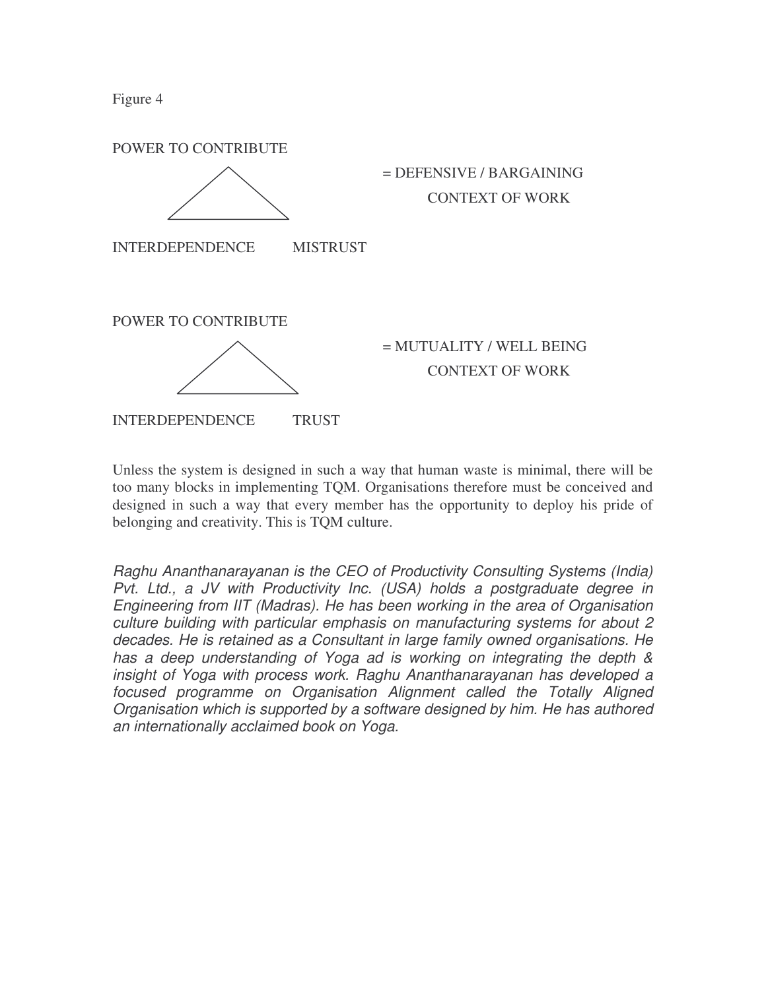Figure 4



Unless the system is designed in such a way that human waste is minimal, there will be too many blocks in implementing TQM. Organisations therefore must be conceived and designed in such a way that every member has the opportunity to deploy his pride of belonging and creativity. This is TQM culture.

*Raghu Ananthanarayanan is the CEO of Productivity Consulting Systems (India) Pvt. Ltd., a JV with Productivity Inc. (USA) holds a postgraduate degree in Engineering from IIT (Madras). He has been working in the area of Organisation culture building with particular emphasis on manufacturing systems for about 2 decades. He is retained as a Consultant in large family owned organisations. He has a deep understanding of Yoga ad is working on integrating the depth & insight of Yoga with process work. Raghu Ananthanarayanan has developed a focused programme on Organisation Alignment called the Totally Aligned Organisation which is supported by a software designed by him. He has authored an internationally acclaimed book on Yoga.*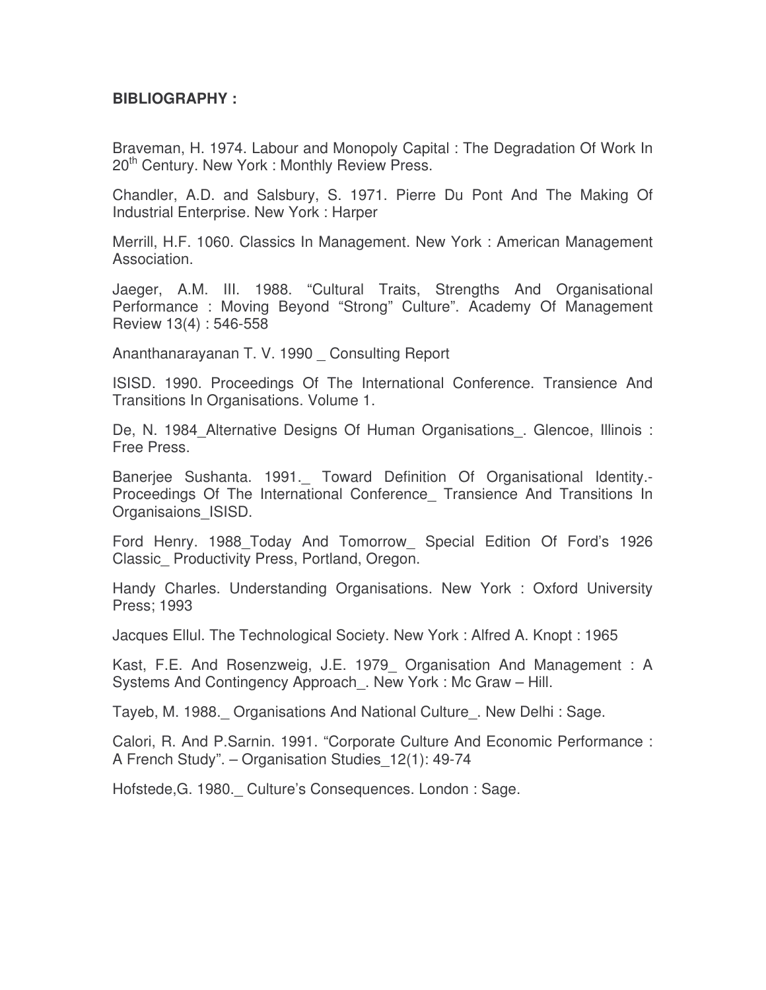# **BIBLIOGRAPHY :**

Braveman, H. 1974. Labour and Monopoly Capital : The Degradation Of Work In 20<sup>th</sup> Century. New York: Monthly Review Press.

Chandler, A.D. and Salsbury, S. 1971. Pierre Du Pont And The Making Of Industrial Enterprise. New York : Harper

Merrill, H.F. 1060. Classics In Management. New York : American Management Association.

Jaeger, A.M. III. 1988. "Cultural Traits, Strengths And Organisational Performance : Moving Beyond "Strong" Culture". Academy Of Management Review 13(4) : 546-558

Ananthanarayanan T. V. 1990 \_ Consulting Report

ISISD. 1990. Proceedings Of The International Conference. Transience And Transitions In Organisations. Volume 1.

De, N. 1984 Alternative Designs Of Human Organisations. Glencoe, Illinois : Free Press.

Baneriee Sushanta. 1991. Toward Definition Of Organisational Identity.-Proceedings Of The International Conference Transience And Transitions In Organisaions\_ISISD.

Ford Henry. 1988\_Today And Tomorrow\_ Special Edition Of Ford's 1926 Classic\_ Productivity Press, Portland, Oregon.

Handy Charles. Understanding Organisations. New York : Oxford University Press; 1993

Jacques Ellul. The Technological Society. New York : Alfred A. Knopt : 1965

Kast, F.E. And Rosenzweig, J.E. 1979\_ Organisation And Management : A Systems And Contingency Approach. New York : Mc Graw – Hill.

Tayeb, M. 1988.\_ Organisations And National Culture\_. New Delhi : Sage.

Calori, R. And P.Sarnin. 1991. "Corporate Culture And Economic Performance : A French Study". – Organisation Studies\_12(1): 49-74

Hofstede, G. 1980. Culture's Consequences. London : Sage.